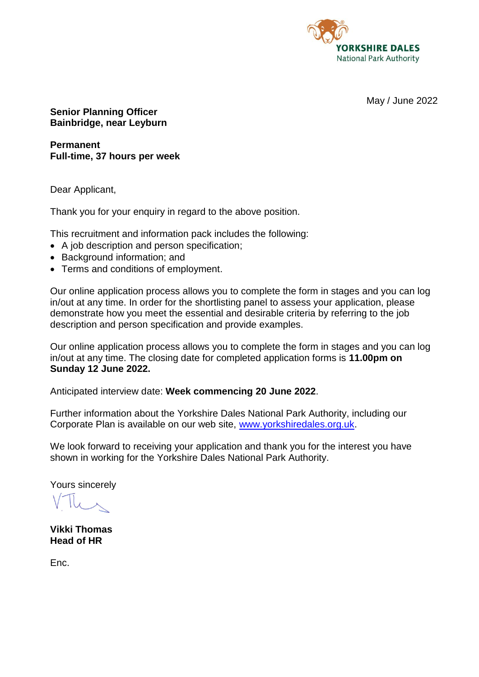

May / June 2022

**Senior Planning Officer Bainbridge, near Leyburn**

**Permanent Full-time, 37 hours per week**

Dear Applicant,

Thank you for your enquiry in regard to the above position.

This recruitment and information pack includes the following:

- A job description and person specification;
- Background information; and
- Terms and conditions of employment.

Our online application process allows you to complete the form in stages and you can log in/out at any time. In order for the shortlisting panel to assess your application, please demonstrate how you meet the essential and desirable criteria by referring to the job description and person specification and provide examples.

Our online application process allows you to complete the form in stages and you can log in/out at any time. The closing date for completed application forms is **11.00pm on Sunday 12 June 2022.**

Anticipated interview date: **Week commencing 20 June 2022**.

Further information about the Yorkshire Dales National Park Authority, including our Corporate Plan is available on our web site, [www.yorkshiredales.org.uk.](http://www.yorkshiredales.org.uk/)

We look forward to receiving your application and thank you for the interest you have shown in working for the Yorkshire Dales National Park Authority.

Yours sincerely

**Vikki Thomas Head of HR**

Enc.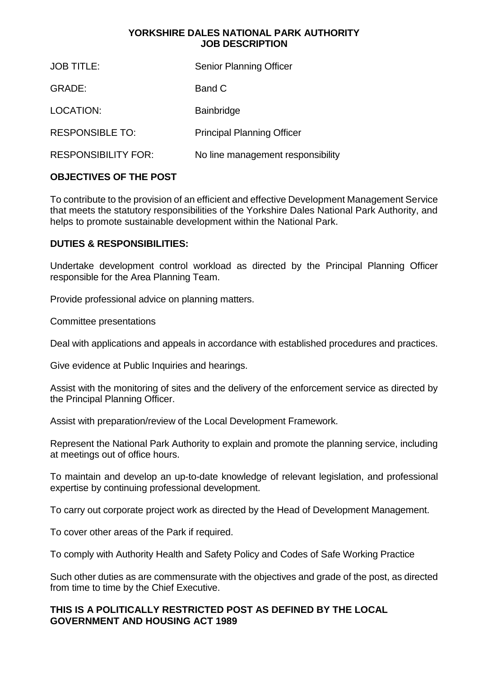### **YORKSHIRE DALES NATIONAL PARK AUTHORITY JOB DESCRIPTION**

| GRADE:<br>Band C<br>LOCATION:<br><b>Bainbridge</b><br><b>RESPONSIBLE TO:</b><br><b>Principal Planning Officer</b><br><b>RESPONSIBILITY FOR:</b> | <b>JOB TITLE:</b> | <b>Senior Planning Officer</b>    |
|-------------------------------------------------------------------------------------------------------------------------------------------------|-------------------|-----------------------------------|
|                                                                                                                                                 |                   |                                   |
|                                                                                                                                                 |                   |                                   |
|                                                                                                                                                 |                   |                                   |
|                                                                                                                                                 |                   | No line management responsibility |

## **OBJECTIVES OF THE POST**

To contribute to the provision of an efficient and effective Development Management Service that meets the statutory responsibilities of the Yorkshire Dales National Park Authority, and helps to promote sustainable development within the National Park.

### **DUTIES & RESPONSIBILITIES:**

Undertake development control workload as directed by the Principal Planning Officer responsible for the Area Planning Team.

Provide professional advice on planning matters.

Committee presentations

Deal with applications and appeals in accordance with established procedures and practices.

Give evidence at Public Inquiries and hearings.

Assist with the monitoring of sites and the delivery of the enforcement service as directed by the Principal Planning Officer.

Assist with preparation/review of the Local Development Framework.

Represent the National Park Authority to explain and promote the planning service, including at meetings out of office hours.

To maintain and develop an up-to-date knowledge of relevant legislation, and professional expertise by continuing professional development.

To carry out corporate project work as directed by the Head of Development Management.

To cover other areas of the Park if required.

To comply with Authority Health and Safety Policy and Codes of Safe Working Practice

Such other duties as are commensurate with the objectives and grade of the post, as directed from time to time by the Chief Executive.

### **THIS IS A POLITICALLY RESTRICTED POST AS DEFINED BY THE LOCAL GOVERNMENT AND HOUSING ACT 1989**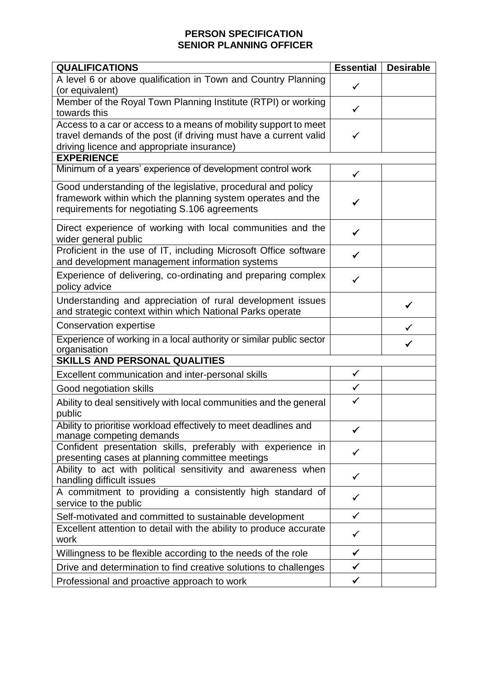# **PERSON SPECIFICATION SENIOR PLANNING OFFICER**

| <b>QUALIFICATIONS</b>                                                                                                                                                              | <b>Essential</b> | <b>Desirable</b> |  |
|------------------------------------------------------------------------------------------------------------------------------------------------------------------------------------|------------------|------------------|--|
| A level 6 or above qualification in Town and Country Planning<br>(or equivalent)                                                                                                   | $\checkmark$     |                  |  |
| Member of the Royal Town Planning Institute (RTPI) or working<br>towards this                                                                                                      | ✓                |                  |  |
| Access to a car or access to a means of mobility support to meet<br>travel demands of the post (if driving must have a current valid<br>driving licence and appropriate insurance) | ✓                |                  |  |
| <b>EXPERIENCE</b>                                                                                                                                                                  |                  |                  |  |
| Minimum of a years' experience of development control work                                                                                                                         | $\checkmark$     |                  |  |
| Good understanding of the legislative, procedural and policy<br>framework within which the planning system operates and the<br>requirements for negotiating S.106 agreements       | ✓                |                  |  |
| Direct experience of working with local communities and the<br>wider general public                                                                                                | ✓                |                  |  |
| Proficient in the use of IT, including Microsoft Office software<br>and development management information systems                                                                 | ✓                |                  |  |
| Experience of delivering, co-ordinating and preparing complex<br>policy advice                                                                                                     |                  |                  |  |
| Understanding and appreciation of rural development issues<br>and strategic context within which National Parks operate                                                            |                  | ✓                |  |
| <b>Conservation expertise</b>                                                                                                                                                      |                  |                  |  |
| Experience of working in a local authority or similar public sector<br>organisation                                                                                                |                  |                  |  |
| <b>SKILLS AND PERSONAL QUALITIES</b>                                                                                                                                               |                  |                  |  |
| Excellent communication and inter-personal skills                                                                                                                                  | $\checkmark$     |                  |  |
| Good negotiation skills                                                                                                                                                            | $\checkmark$     |                  |  |
| Ability to deal sensitively with local communities and the general<br>public                                                                                                       | $\checkmark$     |                  |  |
| Ability to prioritise workload effectively to meet deadlines and<br>manage competing demands                                                                                       | ✓                |                  |  |
| Confident presentation skills, preferably with experience in<br>presenting cases at planning committee meetings                                                                    |                  |                  |  |
| Ability to act with political sensitivity and awareness when<br>handling difficult issues                                                                                          | $\checkmark$     |                  |  |
| A commitment to providing a consistently high standard of<br>service to the public                                                                                                 | $\checkmark$     |                  |  |
| Self-motivated and committed to sustainable development                                                                                                                            | $\checkmark$     |                  |  |
| Excellent attention to detail with the ability to produce accurate<br>work                                                                                                         | $\checkmark$     |                  |  |
| Willingness to be flexible according to the needs of the role                                                                                                                      | $\checkmark$     |                  |  |
| Drive and determination to find creative solutions to challenges                                                                                                                   | $\checkmark$     |                  |  |
| Professional and proactive approach to work                                                                                                                                        | $\checkmark$     |                  |  |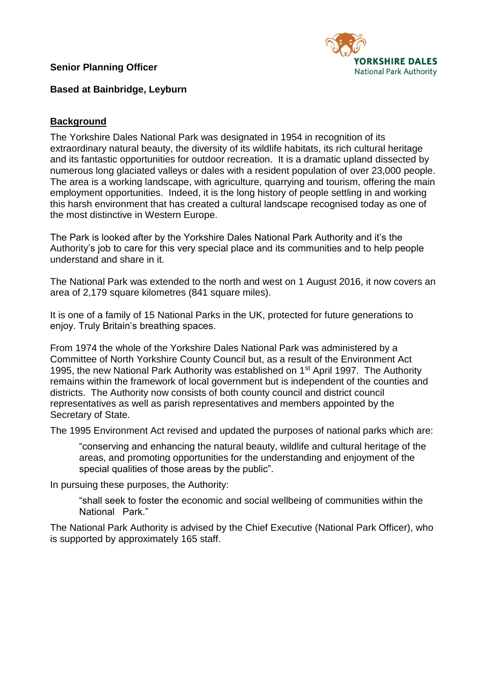**Senior Planning Officer**



**Based at Bainbridge, Leyburn**

### **Background**

The Yorkshire Dales National Park was designated in 1954 in recognition of its extraordinary natural beauty, the diversity of its wildlife habitats, its rich cultural heritage and its fantastic opportunities for outdoor recreation. It is a dramatic upland dissected by numerous long glaciated valleys or dales with a resident population of over 23,000 people. The area is a working landscape, with agriculture, quarrying and tourism, offering the main employment opportunities. Indeed, it is the long history of people settling in and working this harsh environment that has created a cultural landscape recognised today as one of the most distinctive in Western Europe.

The Park is looked after by the Yorkshire Dales National Park Authority and it's the Authority's job to care for this very special place and its communities and to help people understand and share in it.

The National Park was extended to the north and west on 1 August 2016, it now covers an area of 2,179 square kilometres (841 square miles).

It is one of a family of 15 National Parks in the UK, protected for future generations to enjoy. Truly Britain's breathing spaces.

From 1974 the whole of the Yorkshire Dales National Park was administered by a Committee of North Yorkshire County Council but, as a result of the Environment Act 1995, the new National Park Authority was established on 1<sup>st</sup> April 1997. The Authority remains within the framework of local government but is independent of the counties and districts. The Authority now consists of both county council and district council representatives as well as parish representatives and members appointed by the Secretary of State.

The 1995 Environment Act revised and updated the purposes of national parks which are:

"conserving and enhancing the natural beauty, wildlife and cultural heritage of the areas, and promoting opportunities for the understanding and enjoyment of the special qualities of those areas by the public".

In pursuing these purposes, the Authority:

"shall seek to foster the economic and social wellbeing of communities within the National Park."

The National Park Authority is advised by the Chief Executive (National Park Officer), who is supported by approximately 165 staff.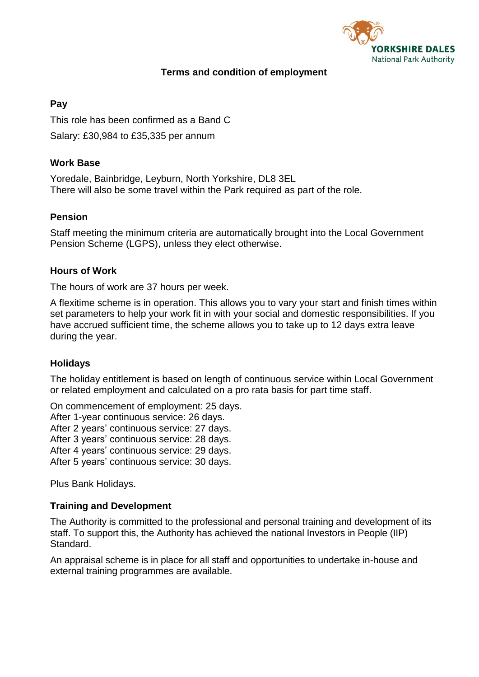

## **Terms and condition of employment**

### **Pay**

This role has been confirmed as a Band C Salary: £30,984 to £35,335 per annum

## **Work Base**

Yoredale, Bainbridge, Leyburn, North Yorkshire, DL8 3EL There will also be some travel within the Park required as part of the role.

## **Pension**

Staff meeting the minimum criteria are automatically brought into the Local Government Pension Scheme (LGPS), unless they elect otherwise.

### **Hours of Work**

The hours of work are 37 hours per week.

A flexitime scheme is in operation. This allows you to vary your start and finish times within set parameters to help your work fit in with your social and domestic responsibilities. If you have accrued sufficient time, the scheme allows you to take up to 12 days extra leave during the year.

## **Holidays**

The holiday entitlement is based on length of continuous service within Local Government or related employment and calculated on a pro rata basis for part time staff.

On commencement of employment: 25 days.

After 1-year continuous service: 26 days.

After 2 years' continuous service: 27 days.

After 3 years' continuous service: 28 days.

After 4 years' continuous service: 29 days.

After 5 years' continuous service: 30 days.

Plus Bank Holidays.

### **Training and Development**

The Authority is committed to the professional and personal training and development of its staff. To support this, the Authority has achieved the national Investors in People (IIP) Standard.

An appraisal scheme is in place for all staff and opportunities to undertake in-house and external training programmes are available.